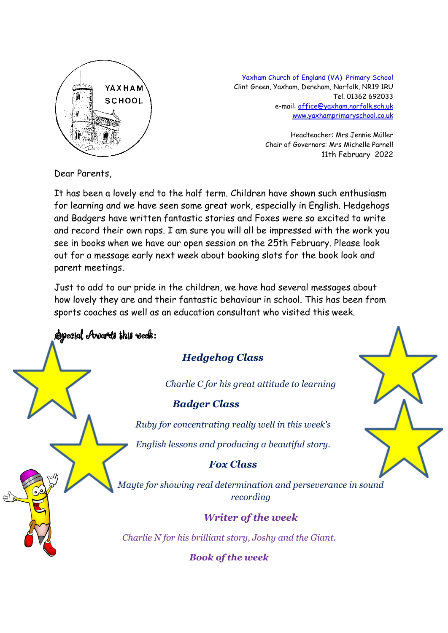

Yaxham Church of England (VA) Primary School Clint Green, Yaxham, Dereham, Norfolk, NR19 1RU Tel. 01362 692033 e-mail: [office@yaxham.norfolk.sch.uk](mailto:office@yaxham.norfolk.sch.uk) [www.yaxhamprimaryschool.co.uk](http://www.yaxhamprimaryschool.co.uk)

> Headteacher: Mrs Jennie Müller Chair of Governors: Mrs Michelle Parnell 11th February 2022

Dear Parents,

It has been a lovely end to the half term. Children have shown such enthusiasm for learning and we have seen some great work, especially in English. Hedgehogs and Badgers have written fantastic stories and Foxes were so excited to write and record their own raps. I am sure you will all be impressed with the work you see in books when we have our open session on the 25th February. Please look out for a message early next week about booking slots for the book look and parent meetings.

Just to add to our pride in the children, we have had several messages about how lovely they are and their fantastic behaviour in school. This has been from sports coaches as well as an education consultant who visited this week.

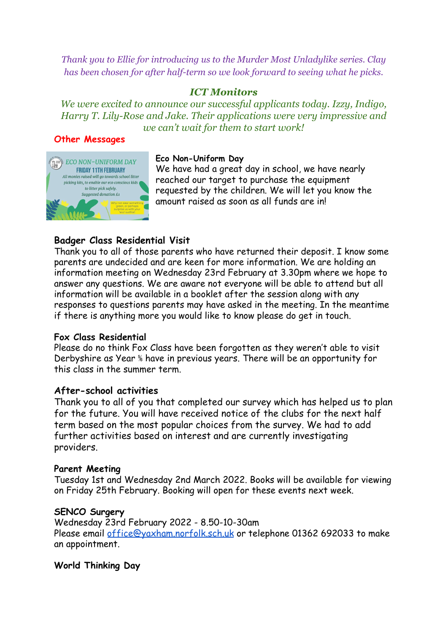*Thank you to Ellie for introducing us to the Murder Most Unladylike series. Clay has been chosen for after half-term so we look forward to seeing what he picks.*

## *ICT Monitors*

*We were excited to announce our successful applicants today. Izzy, Indigo, Harry T. Lily-Rose and Jake. Their applications were very impressive and we can't wait for them to start work!*

#### **Other Messages**



#### **Eco Non-Uniform Day**

We have had a great day in school, we have nearly reached our target to purchase the equipment requested by the children. We will let you know the amount raised as soon as all funds are in!

## **Badger Class Residential Visit**

Thank you to all of those parents who have returned their deposit. I know some parents are undecided and are keen for more information. We are holding an information meeting on Wednesday 23rd February at 3.30pm where we hope to answer any questions. We are aware not everyone will be able to attend but all information will be available in a booklet after the session along with any responses to questions parents may have asked in the meeting. In the meantime if there is anything more you would like to know please do get in touch.

#### **Fox Class Residential**

Please do no think Fox Class have been forgotten as they weren't able to visit Derbyshire as Year ⅚ have in previous years. There will be an opportunity for this class in the summer term.

#### **After-school activities**

Thank you to all of you that completed our survey which has helped us to plan for the future. You will have received notice of the clubs for the next half term based on the most popular choices from the survey. We had to add further activities based on interest and are currently investigating providers.

#### **Parent Meeting**

Tuesday 1st and Wednesday 2nd March 2022. Books will be available for viewing on Friday 25th February. Booking will open for these events next week.

#### **SENCO Surgery**

Wednesday 23rd February 2022 - 8.50-10-30am Please email [office@yaxham.norfolk.sch.uk](mailto:office@yaxham.norfolk.sch.uk) or telephone 01362 692033 to make an appointment.

#### **World Thinking Day**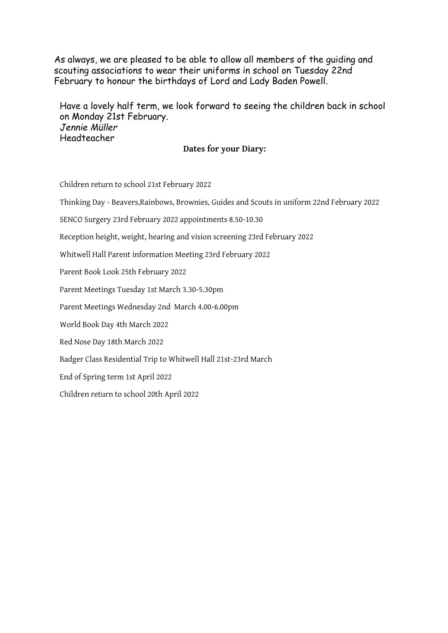As always, we are pleased to be able to allow all members of the guiding and scouting associations to wear their uniforms in school on Tuesday 22nd February to honour the birthdays of Lord and Lady Baden Powell.

Have a lovely half term, we look forward to seeing the children back in school on Monday 21st February. *Jennie Müller* Headteacher

**Dates for your Diary:**

Children return to school 21st February 2022

Thinking Day - Beavers,Rainbows, Brownies, Guides and Scouts in uniform 22nd February 2022

SENCO Surgery 23rd February 2022 appointments 8.50-10.30

Reception height, weight, hearing and vision screening 23rd February 2022

Whitwell Hall Parent information Meeting 23rd February 2022

Parent Book Look 25th February 2022

Parent Meetings Tuesday 1st March 3.30-5.30pm

Parent Meetings Wednesday 2nd March 4.00-6.00pm

World Book Day 4th March 2022

Red Nose Day 18th March 2022

Badger Class Residential Trip to Whitwell Hall 21st-23rd March

End of Spring term 1st April 2022

Children return to school 20th April 2022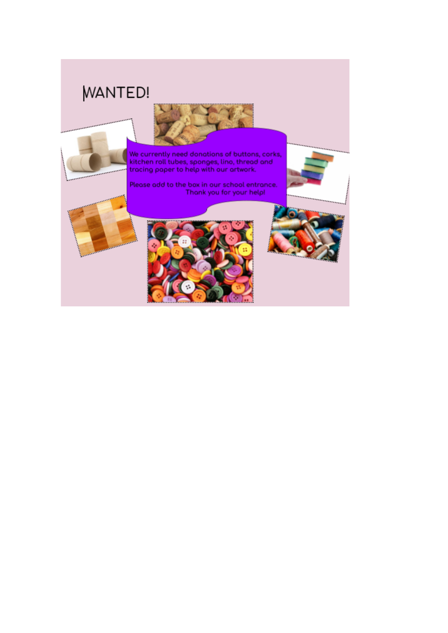# **WANTED!**

فسيرز

.........



We currently need donations of buttons, corks,<br>kitchen roll tubes, sponges, lino, thread and tracing paper to help with our artwork.

Please add to the box in our school entrance. Thank you for your help!







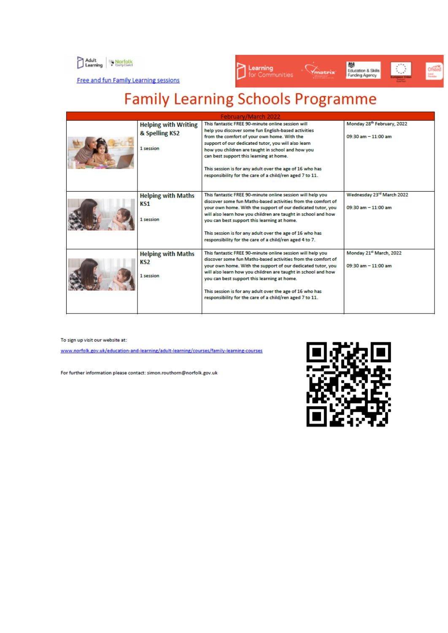



Free and fun Family Learning sessions

# **Family Learning Schools Programme**

| February/March 2022 |                                                            |                                                                                                                                                                                                                                                                                                                                                                                                                                        |                                                                     |
|---------------------|------------------------------------------------------------|----------------------------------------------------------------------------------------------------------------------------------------------------------------------------------------------------------------------------------------------------------------------------------------------------------------------------------------------------------------------------------------------------------------------------------------|---------------------------------------------------------------------|
|                     | <b>Helping with Writing</b><br>& Spelling KS2<br>1 session | This fantastic FREE 90-minute online session will<br>help you discover some fun English-based activities<br>from the comfort of your own home. With the<br>support of our dedicated tutor, you will also learn<br>how you children are taught in school and how you<br>can best support this learning at home.<br>This session is for any adult over the age of 16 who has<br>responsibility for the care of a child/ren aged 7 to 11. | Monday 28th February, 2022<br>$09:30 \text{ am} - 11:00 \text{ am}$ |
|                     | <b>Helping with Maths</b><br>KS1<br>1 session              | This fantastic FREE 90-minute online session will help you<br>discover some fun Maths-based activities from the comfort of<br>your own home. With the support of our dedicated tutor, you<br>will also learn how you children are taught in school and how<br>you can best support this learning at home.<br>This session is for any adult over the age of 16 who has<br>responsibility for the care of a child/ren aged 4 to 7.       | Wednesday 23rd March 2022<br>$09:30$ am $-11:00$ am                 |
|                     | <b>Helping with Maths</b><br>KS2<br>1 session              | This fantastic FREE 90-minute online session will help you<br>discover some fun Maths-based activities from the comfort of<br>your own home. With the support of our dedicated tutor, you<br>will also learn how you children are taught in school and how<br>you can best support this learning at home.<br>This session is for any adult over the age of 16 who has<br>responsibility for the care of a child/ren aged 7 to 11.      | Monday 21st March, 2022<br>$09:30$ am $-11:00$ am                   |

To sign up visit our website at:

www.norfolk.gov.uk/education-and-learning/adult-learning/courses/family-learning-courses

For further information please contact: simon.routhorn@norfolk.gov.uk